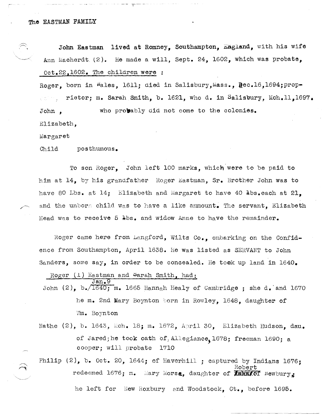John Eastman lived at Romney, Southampton, England, with his wife Ann Macherdt. (2). He made a will, Sept. 24, 1602, which was probate, Oct.22,1602. The children were :

Roger, born in Wales, 1611; died in Salisbury, Mass., Dec.16,1694; proprietor; m. Sarah Smith, b. 1621, who d. in Salisbury, Mch.ll.1697. John , who probably did not come to the colonies. Elizabeth,

Margaret

Child posthumous.

To son Roger, John left 100 marks, which were to be paid to him at 14, by his grandfather Roger Eastman, Sr. Brother John was to have 80 Lbs. at 14; Elizabeth and Margaret to have 40  $\texttt{abs}$ .each at 21. and the unborm child was to have a like ammount. The servant, Elizabeth Head was to receive 5  $\text{\textsterling}\text{bs}$ , and widow Anne to have the remainder.

Roger Came here from Langford, Wilts Co., embarking on the Confidence from Southampton, April 1638. He was listed as SERVANT to John Sanders, some say, in order to be concealed. He took up land in 1640.

Roger  $(1)$  Eastman and Sarah Smith, had: Jan.9 John  $(2)$ , b./1640; m. 1665 Hannah Healy of Cambridge; she d. and 1670 he m. 2nd Mary Boynton born in Rowley, 1648, daughter of 'tIm. Boynton

Nathe  $(2)$ , b. 1643, Mch. 18; m. 1672, April 30, Elizabeth Hudson, dau. of Jared;he took oath of, Allegiance, 1678; freeman 1690; a cooper; will probate 1710

Philip  $(2)$ , b. Oct. 20, 1644; of Haverhill; captured by Indians 1676; Robert redeemed  $1676$ ; m. mary Morse, daughter of  $\overline{R}$   $\overline{M}$   $\overline{M}$  . Newbury,

he left for New Roxbury and Woodstock, Ct., before 1695.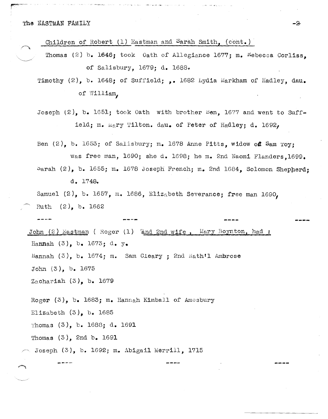The EASTMAN FAMILY

concepts there

Children of Robert  $(1)$  Eastman and Sarah Smith,  $(cont.)$ 

Thomas (2) b. 1646; took Oath of Allegiance 1677; m. Kebecca Corliss. of Salisbury, 1679; d. 1688.

Timothy (2), b. 1648; of Suffield; ,. 1682 Lydia Markham of Hadley, dau. of William,

Joseph  $(2)$ , b. 1651; took Oath with brother Ben, 1677 and went to Suffield; m. Mary Tilton. dau. of Peter of Hadley; d. 1692,

Ben (2), b. 1653; of Salisbury; m. 1678 Anne Pitts, widow of Sam Toy: was free man, 1690; she d. 1698; he m. 2nd Naomi Flanders. 1699. Sarah  $(2)$ , b. 1655; m. 1678 Joseph French; m. 2nd 1684. Solomon Shepherd:

 $d_{\bullet}$  1748.

Samuel (2), b. 1657, m. 1686, Elizabeth Severance; free man 1690, Ruth  $(2)$ , b. 1662

John  $(2)$  Eastman (Roger  $(1)$  and 2nd wife, Mary Boynton, had: Hannah  $(3)$ , b. 1673; d. y. Hannah  $(3)$ , b. 1674; m. Sam Cleary; 2nd Nath'l Ambrose John  $(3)$ , b. 1675 Zachariah  $(3)$ , b. 1679

Roger  $(3)$ , b. 1683; m. Hannah Kimball of Amesbury Elizabeth  $(3)$ , b. 1685

Thomas  $(3)$ , b. 1688; d. 1691

Thomas  $(3)$ , 2nd b. 1691

Joseph (3), b. 1692; m. Abigail Merrill. 1715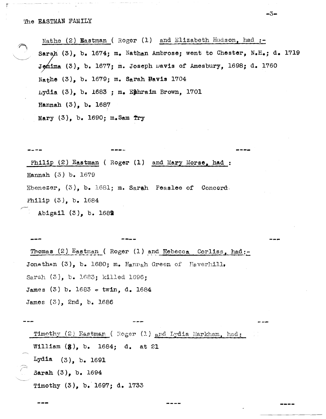## The EASTMAN FAMILY

Nathe (2) Wastman (Roger (1) and Elizabeth Hudson, had :-Sarah (3), b. 1674; m. Nathan Ambrose; went to Chester, N.H.; d. 1719 Jomima (3), b. 1677; m. Joseph Davis of Amesbury, 1698; d. 1760 Nathe (3), b. 1679; m. Sarah Bavis 1704 Lydia  $(3)$ , b. 1683 ; m. Ephraim Brown, 1701 Hannah  $(3)$ , b. 1687 Mary  $(3)$ , b. 1690; m. Sam Try

-3-

Philip (2) Eastman (Roger (1) and Mary Morse, had: Hannah  $(3)$  b. 1679 Ebenezer,  $(3)$ , b. 1681; m. Sarah Peaslee of Concord. Philip  $(3)$ , b. 1684 Abigail  $(3)$ , b. 1689

Thomas  $(2)$  Eastman (Roger  $(1)$  and Rebecca Corliss, had:-Jonathan (3), b. 1680; m. Hannah Green of Haverhill. Sarah (3), b. 1683; killed 1696; James (3) b. 1683 – twin, d. 1684 James (3), 2nd, b. 1686

Timothy (2) Eastman (Roger (1) and Lydia Markham, had: William  $(8)$ , b. 1684; d. at 21 Lydia  $(3)$ , b. 1691 Sarah (3), b. 1694 Timothy (3), b. 1697; d. 1733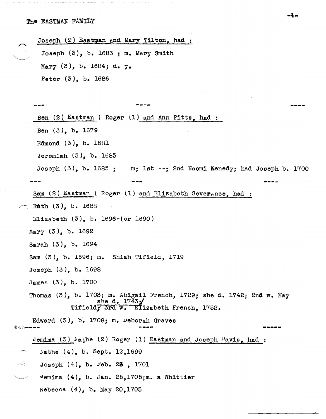Joseph  $(2)$  Eastman and Mary Tilton, had : Joseph  $(3)$ , b. 1683 ; m. Mary Smith Mary  $(3)$ , b. 1684; d. y. Peter (3), b. 1686 ----Ben (2) Eastman (Roger (1) and Ann Pitts, had : Ben (3), b. 1679 Edmond (3), b. 1681 Jeremiah  $(3)$ , b. 1683 ; 2nd Naomi Kenedy; had Joseph b. 1700 Joseph  $(3)$ , b. 1685; Sam  $(2)$  Eastman (Roger  $(1)$  and Elizabeth Severance, had : Ruth (3), b. 1688 EliZabeth (3), b. 1696-(or 1690) Mary (3), b. 1692 Sarah (3), b. 1694 Sam (3), b. 1696; m. Shiah Tifield, 1719 Joseph (3), b. 1698 James (3), b. 1700 Thomas (3), b. 1703; m. Abigail French, 1729; she d. 1742; 2nd w. May she d.  $1743/$ Tifield, 3rd w. Elizabeth French, 1752. Edward (3), b. 1708; m. Deborah Graves **.-. .... --** \*\*\*--Jemima (3)  $N$ athe (2) Roger (1) Eastman and Joseph  $\nu$ avis, had : Nathe (4), b. Sept. 12,1699  $\leq$  Joseph (4), b. Feb. 23, 1701  $v$ emima (4), b. Jan. 25,1705;m. a Whittier Rebecca (4), b. May 20,1705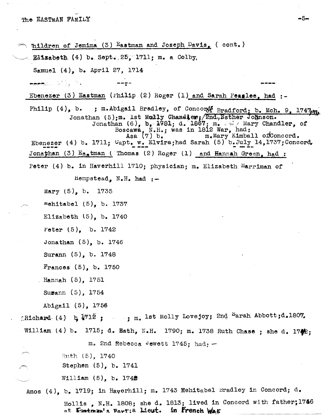$\curvearrowright$  nildren of Jemima (3) Eastman and Joseph Davis, (cont.)  $R3a$ abeth (4) b. Sept.: 25, 1711; m. a Colby, Samuel (4), b. April 27, 1714 **.. ---**• <del>-Her</del>zho (1), h. Ebenezer (3) Eastman (Philip (2) Roger (1) and Sarah Peaslee, had  $:$ Philip  $(4)$ , b. ; m.Abigail Bradley, of Concoro Bradford; b. Mch. 9, 1747tm. Jonathan (5);m. 1st Molly Chanaler;/2nd.,Esther Johnson.<br>Jonathan (6), b, 1781; d. 1867; m. & Mary Chandler, of Boscawa,  $N.H.$ ; was in 1812 War, had:<br>Asa  $(7)$  b.  $m_{\bullet}$  Mary Kimba: m.Mary Kimball of Concord. Ebenezer (4) b. 1711;  $C$ apt. w. Elvira;had Sarah (5) b.July 14,1737; Concord.<br>**Jonathan** (3) Eastman (Thomas (2) Roger (1) and Hannah Green, had: Peter (4) b. in Haverhill 1710; physician; m. Elizabeth Harriman of Hempstead,  $N.H.$  had  $:-$ Mary  $(5)$ , b. 1735 mehitabel  $(5)$ , b. 1737 Elizabeth  $(5)$ , b. 1740 Peter (5), b. 1742 Jonathan (5), b. 1746 Surann (5), b. 1748 Frances (5), b. 1750 Hannah (5), 1751 Supann (5), 1754 Abigail (5), 1756 :Richard (4)  $\frac{1712}{3}$  ; ..., m. lst Molly Lovejoy; 2nd <sup>S</sup>arah Abbott;d.1807. William (4) b. 1715; d. Math, N.H. 1790; m. 1738 Ruth Chase; she d. 17 $\clubsuit$ : m. 2nd Rebecca Jewett 1745; had: $-$ ~ Ruth (5), 1740 *I,*  Stephen (5), b. 1741  $W1111am (5)$ , b. 1742 Amos  $(4)$ , b. 1719; in Haverhill; m. 1743 Mehitabel Bradley in Concord; d. Hollis, N.H. 1808; she d. 1813; lived in Concord with father;1766 ot. Exstman's Fort: a Lieut. In **Prench War**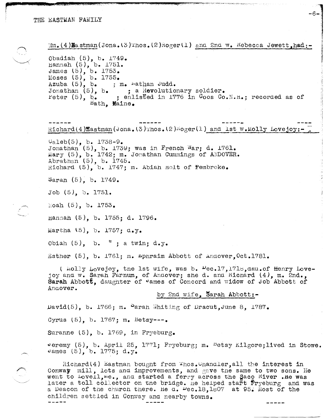$\binom{1}{2}$ 

 $\mathbb{W}_1$ , (4) Hastman (Jona, (3) Thos. (2) Roger (1) and 2nd  $\mathbb{W}_2$ . Rebecca Jewett, had:  $-$ Obadiah  $(5)$ , b.  $1749$ . Hannah  $(5)$ , b. 1751. James (5), b. 1753. Moses  $(5)$ , b. 1755. Azuba  $(5)$ , b., m. wathan Judd. Jonathan (5), b. ; a Revolutionary soldier.<br>Peter (5), b. ; enlisted in 1776 in Coos Co.N.H.; recorded as of Bath. Maine. Richard(4)Eastman(Jona. (3)Thos. (2) hoger(1) and 1st w. Molly Lovejoy:  $Caleb(5)$ , b. 1738-9. Jonathan (5), b. 1739; was in French War; d. 1761. Mary (5), b. 1742; m. Jonathan Cummings of ANDOVER. Abrathan  $(5)$ , b. 1745. Richard (5), b. 1747; m. Abian Holt of Pembroke. Sarah  $(5)$ , b. 1749. Job (5). b. 1751. Noah (5), b. 1753. Hannah (5), b. 1755; d. 1796. Martha (5), b. 1757; d.y. Obiah  $(5)$ , b.  $"$ ; a twin; d.y. Esther (5), b. 1761; m. mpnraim Abbott of Andover. Oct. 1781. ( Molly Lovejoy, the 1st wife, was b. Dec.17, 1718, dau. of Henry Lovejoy and w. Sarah Farnum, of Andover; she d. and Kichard (4), m. 2nd., Sarah Abbott, daughter of "ames of Concord and widow of Job Abbott of Andover. by 2nd wife. Sarah Abbott:- $David(5)$ , b. 1766; m. Parah Whiting of Dracut, June 8, 1787. Cyrus  $(5)$ , b. 1767; m. Betsy---. Suranne  $(5)$ , b. 1769, in Fryeburg. veremy (5), b. April 25, 1771; Fryeburg; m. Detsy Kilgore; lived in Stowe. James  $(5)$ , b. 1775; d.y.

 $-6-$ 

Richard(4) Eastman bought from Thos. Unanaler, all the interest in Conway mill, lots and improvements, and gave the same to two sons. He went to Lovell, me., and started a ferry across the Saco River. He was later a toll collector on the bridge. He helped start fryeburg and was a Deacon of the church there. He d.  $\mu_{c.18,1807}$  at 95. Most of the children settled in Conway and nearby towns.